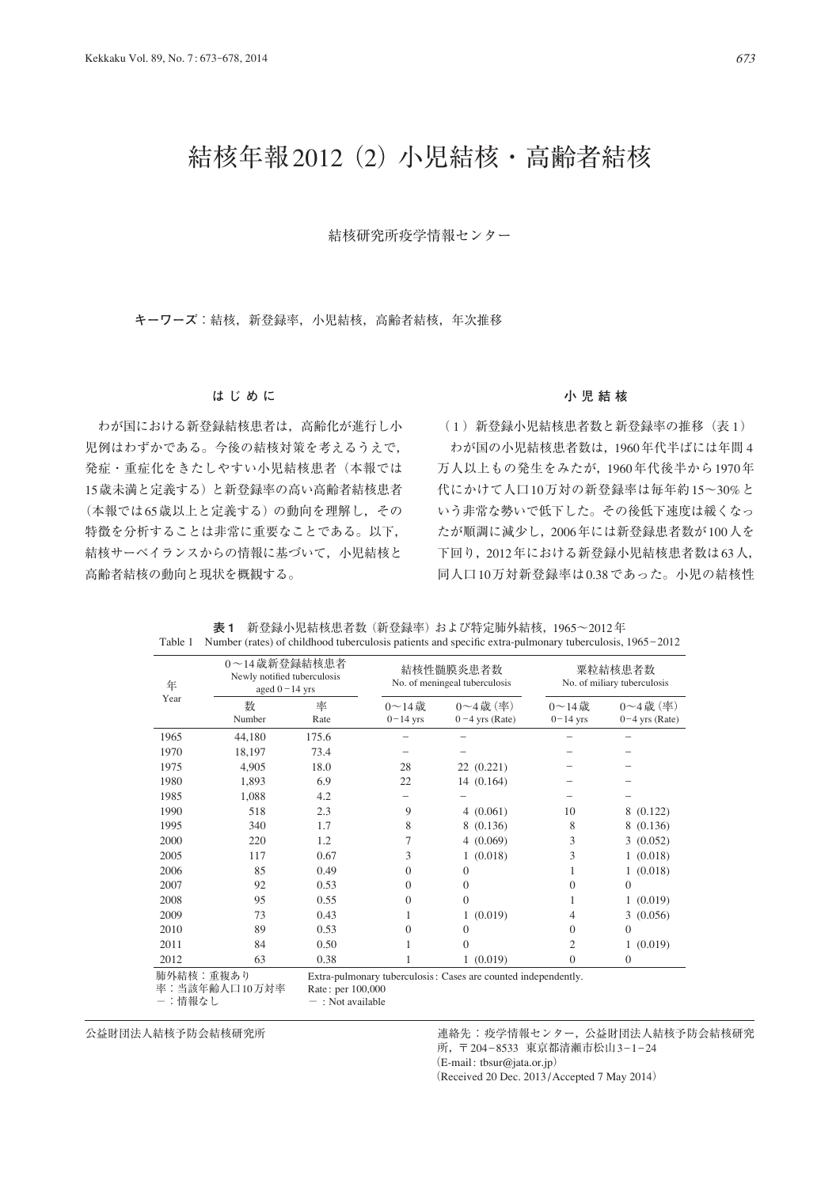# 結核年報2012(2)小児結核・高齢者結核

## 結核研究所疫学情報センター

**キーワーズ**:結核,新登録率,小児結核,高齢者結核,年次推移

## **はじめに**

 わが国における新登録結核患者は,高齢化が進行し小 児例はわずかである。今後の結核対策を考えるうえで, 発症・重症化をきたしやすい小児結核患者(本報では 15歳未満と定義する)と新登録率の高い高齢者結核患者 (本報では65歳以上と定義する)の動向を理解し,その 特徴を分析することは非常に重要なことである。以下, 結核サーベイランスからの情報に基づいて,小児結核と 高齢者結核の動向と現状を概観する。

## **小児結核**

(1) 新登録小児結核患者数と新登録率の推移(表1) わが国の小児結核患者数は,1960年代半ばには年間 4 万人以上もの発生をみたが,1960年代後半から1970年 代にかけて人口10万対の新登録率は毎年約15~30%と いう非常な勢いで低下した。その後低下速度は緩くなっ たが順調に減少し,2006年には新登録患者数が100人を 下回り,2012年における新登録小児結核患者数は63人, 同人口10万対新登録率は0.38であった。小児の結核性

| 年         | 0~14歳新登録結核患者<br>Newly notified tuberculosis<br>aged $0 - 14$ yrs |                       |                             | 結核性髄膜炎患者数<br>No. of meningeal tuberculosis                     | 粟粒結核患者数<br>No. of miliary tuberculosis |                                         |  |  |
|-----------|------------------------------------------------------------------|-----------------------|-----------------------------|----------------------------------------------------------------|----------------------------------------|-----------------------------------------|--|--|
| Year      | 数<br>Number                                                      | 率<br>Rate             | $0 \sim 14$ 歳<br>$0-14$ yrs | $0 \sim 4$ 歳 $(\Phi)$<br>$0-4$ yrs (Rate)                      | $0 \sim 14$ 歳<br>$0-14$ yrs            | $0 \sim 4$ 歳 $($ 率)<br>$0-4$ yrs (Rate) |  |  |
| 1965      | 44,180                                                           | 175.6                 |                             |                                                                |                                        |                                         |  |  |
| 1970      | 18,197                                                           | 73.4                  |                             |                                                                |                                        |                                         |  |  |
| 1975      | 4,905                                                            | 18.0                  | 28                          | 22 (0.221)                                                     |                                        |                                         |  |  |
| 1980      | 1,893                                                            | 6.9                   | 22                          | 14(0.164)                                                      |                                        |                                         |  |  |
| 1985      | 1,088                                                            | 4.2                   |                             |                                                                |                                        |                                         |  |  |
| 1990      | 518                                                              | 2.3                   | 9                           | 4(0.061)                                                       | 10                                     | 8 (0.122)                               |  |  |
| 1995      | 340                                                              | 1.7                   | 8                           | (0.136)<br>8                                                   | 8                                      | (0.136)<br>8                            |  |  |
| 2000      | 220                                                              | 1.2                   | 7                           | 4(0.069)                                                       | 3                                      | 3(0.052)                                |  |  |
| 2005      | 117                                                              | 0.67                  | 3                           | 1(0.018)                                                       | 3                                      | 1(0.018)                                |  |  |
| 2006      | 85                                                               | 0.49                  | $\Omega$                    | $\Omega$                                                       |                                        | 1(0.018)                                |  |  |
| 2007      | 92                                                               | 0.53                  | $\Omega$                    | 0                                                              | $\theta$                               | $\Omega$                                |  |  |
| 2008      | 95                                                               | 0.55                  | $\Omega$                    | $\Omega$                                                       | 1                                      | 1(0.019)                                |  |  |
| 2009      | 73                                                               | 0.43                  |                             | (0.019)                                                        | 4                                      | 3(0.056)                                |  |  |
| 2010      | 89                                                               | 0.53                  | $\Omega$                    | 0                                                              | $\Omega$                               | $\Omega$                                |  |  |
| 2011      | 84                                                               | 0.50                  |                             | $\Omega$                                                       | $\overline{2}$                         | 1(0.019)                                |  |  |
| 2012      | 63                                                               | 0.38                  |                             | 1(0.019)                                                       | $\overline{0}$                         | $\overline{0}$                          |  |  |
| 肺外結核:重複あり | ず・业法左些 ↓ □ 10 亡基ず                                                | $D_{11}$ $(100, 000)$ |                             | Extra-pulmonary tuberculosis: Cases are counted independently. |                                        |                                         |  |  |

**表 1** 新登録小児結核患者数(新登録率)および特定肺外結核,1965~2012年 Table 1 Number (rates) of childhood tuberculosis patients and specific extra-pulmonary tuberculosis, 1965–2012

率:当該年齢人口 10万対率 Rate : per 100,000<br>-:情報なし - : Not available

-: Not available

公益財団法人結核予防会結核研究所 カポラン さんじゅう 連絡先:疫学情報センター,公益財団法人結核予防会結核研究 所,〒 204\_8533 東京都清瀬市松山3\_1\_24 (E-mail: tbsur@jata.or.jp)

(Received 20 Dec. 2013/ Accepted 7 May 2014)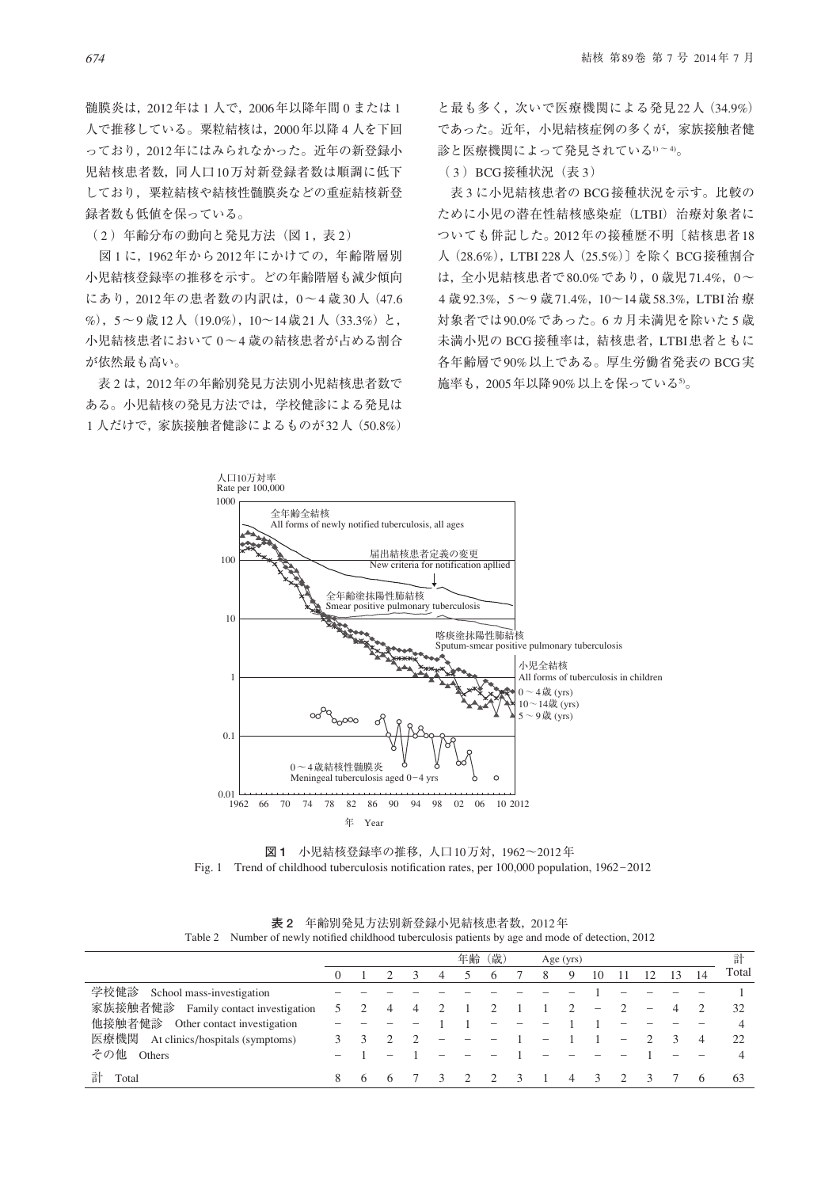髄膜炎は,2012年は 1 人で,2006年以降年間 0 または 1 人で推移している。粟粒結核は,2000年以降 4 人を下回 っており、2012年にはみられなかった。近年の新登録小 児結核患者数,同人口10万対新登録者数は順調に低下 しており,粟粒結核や結核性髄膜炎などの重症結核新登 録者数も低値を保っている。

(2) 年齢分布の動向と発見方法(図1,表2)

 図 1 に,1962年から2012年にかけての,年齢階層別 小児結核登録率の推移を示す。どの年齢階層も減少傾向 にあり,2012年の患者数の内訳は,0~4 歳30人(47.6 %), 5~9歳12人 (19.0%), 10~14歳21人 (33.3%)と, 小児結核患者において 0~4 歳の結核患者が占める割合 が依然最も高い。

 表 2 は,2012年の年齢別発見方法別小児結核患者数で ある。小児結核の発見方法では,学校健診による発見は 1 人だけで,家族接触者健診によるものが32人(50.8%)

と最も多く,次いで医療機関による発見22人(34.9%) であった。近年,小児結核症例の多くが,家族接触者健 診と医療機関によって発見されている1)~4)。

(3) BCG接種状況 (表 3)

 表 3 に小児結核患者の BCG接種状況を示す。比較の ために小児の潜在性結核感染症(LTBI)治療対象者に ついても併記した。2012年の接種歴不明〔結核患者18 人(28.6%),LTBI 228人(25.5%)〕を除く BCG接種割合 は,全小児結核患者で80.0%であり,0 歳児71.4%,0~ 4 歳92.3%,5~9 歳71.4%,10~14歳58.3%,LTBI治 療 対象者では90.0%であった。6 カ月未満児を除いた 5 歳 未満小児の BCG接種率は,結核患者,LTBI患者ともに 各年齢層で90%以上である。厚生労働省発表の BCG実 施率も,2005年以降90%以上を保っている5)。



**図 1** 小児結核登録率の推移,人口10万対,1962~2012年 Fig. 1 Trend of childhood tuberculosis notification rates, per  $100,000$  population,  $1962-2012$ 

|                                         |   |   |   |   | 年齢 | (歳) |                        | Age (yrs) |                          |                 |    |                | 計     |
|-----------------------------------------|---|---|---|---|----|-----|------------------------|-----------|--------------------------|-----------------|----|----------------|-------|
|                                         |   |   |   | 4 |    | 6   | 8                      | 9         | 10                       | $\overline{12}$ | 13 | 14             | Total |
| 学校健診<br>School mass-investigation       |   |   |   |   |    |     |                        |           |                          |                 |    |                |       |
| 家族接触者健診<br>Family contact investigation |   |   |   |   |    |     |                        |           | $\overline{\phantom{0}}$ |                 |    |                | 32    |
| 他接触者健診<br>Other contact investigation   |   |   |   |   |    |     |                        |           |                          |                 |    |                |       |
| 医療機関<br>At clinics/hospitals (symptoms) |   |   |   |   |    |     | $\qquad \qquad \qquad$ |           |                          |                 |    | $\overline{4}$ | 22    |
| その他<br>Others                           |   |   |   |   |    |     |                        |           |                          |                 |    |                |       |
| 計<br>Total                              | 8 | h | h |   |    |     |                        | 4         |                          |                 |    |                | 63    |

**表 2** 年齢別発見方法別新登録小児結核患者数,2012年 Table 2 Number of newly notified childhood tuberculosis patients by age and mode of detection, 2012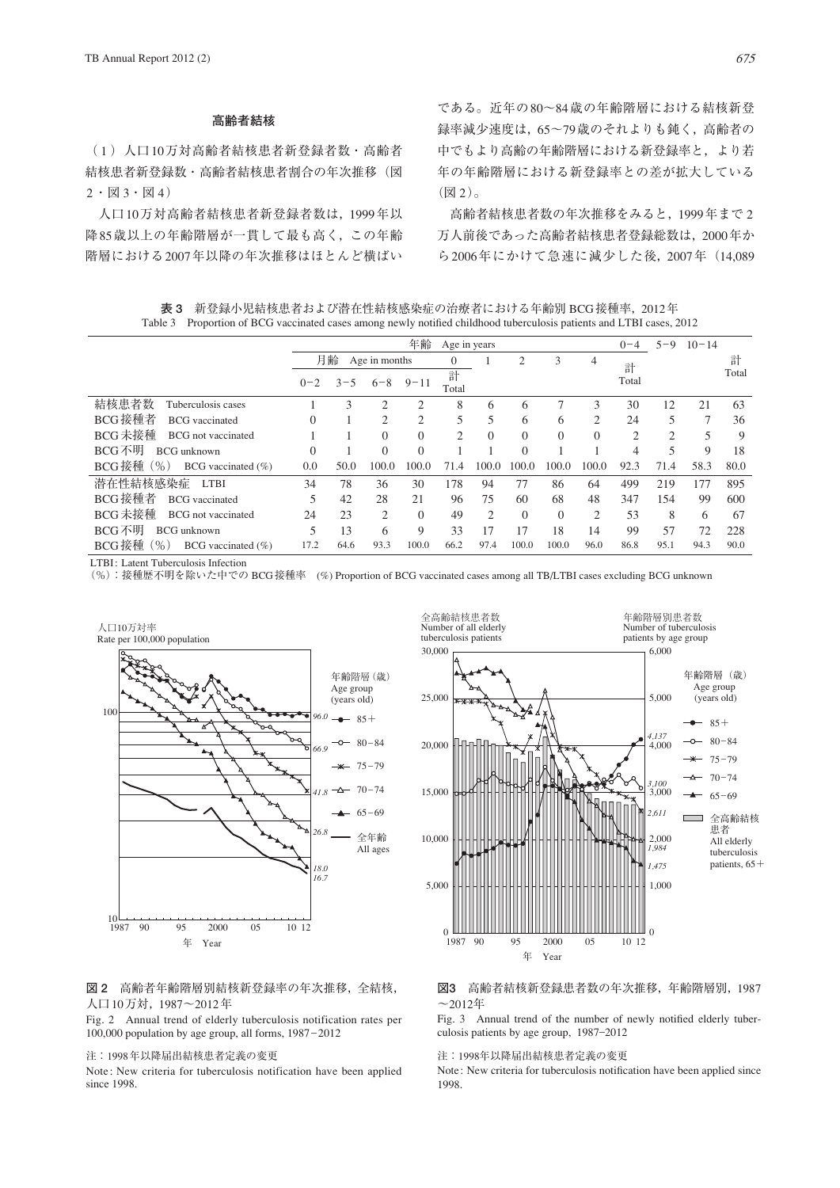## **高齢者結核**

( 1 )人口10万対高齢者結核患者新登録者数・高齢者 結核患者新登録数・高齢者結核患者割合の年次推移(図  $2 \cdot 2 \cdot 3 \cdot 2 \cdot 4$ 

 人口10万対高齢者結核患者新登録者数は,1999年以 降85歳以上の年齢階層が一貫して最も高く,この年齢 階層における2007年以降の年次推移はほとんど横ばい である。近年の80~84歳の年齢階層における結核新登 録率減少速度は,65~79歳のそれよりも鈍く,高齢者の 中でもより高齢の年齢階層における新登録率と,より若 年の年齢階層における新登録率との差が拡大している (図 2)。

 高齢者結核患者数の年次推移をみると,1999年まで 2 万人前後であった高齢者結核患者登録総数は,2000年か ら2006年にかけて急速に減少した後,2007年(14,089

**表 3** 新登録小児結核患者および潜在性結核感染症の治療者における年齢別 BCG接種率,2012年 Table 3 Proportion of BCG vaccinated cases among newly notified childhood tuberculosis patients and LTBI cases, 2012

|                                            |                     | 年齢<br>Age in years<br>$0 - 4$ |                |                |                |                |          |          |                |       | $5 - 9$ | $10 - 14$     |       |
|--------------------------------------------|---------------------|-------------------------------|----------------|----------------|----------------|----------------|----------|----------|----------------|-------|---------|---------------|-------|
|                                            | 月齢<br>Age in months |                               |                |                | $\theta$       |                |          | 3        | 4              | 計     |         |               | 計     |
|                                            | $0 - 2$             | $3 - 5$                       | $6 - 8$        | $9 - 11$       | 計<br>Total     |                |          |          |                | Total |         |               | Total |
| 結核患者数<br>Tuberculosis cases                |                     | 3                             | $\overline{c}$ | $\overline{c}$ | 8              | 6              | 6        |          | 3              | 30    | 12      | 21            | 63    |
| BCG接種者<br><b>BCG</b> vaccinated            | $\Omega$            |                               | $\mathcal{D}$  | $\overline{2}$ | 5              | 5              | 6        | 6        | 2              | 24    | 5       | $\mathcal{I}$ | 36    |
| <b>BCG未接種</b><br><b>BCG</b> not vaccinated |                     |                               | $\Omega$       | $\theta$       | $\overline{2}$ | $\Omega$       | $\Omega$ | $\Omega$ | $\theta$       | 2     | 2       | 5             | 9     |
| BCG不明<br><b>BCG</b> unknown                | $\Omega$            |                               | $\Omega$       | $\Omega$       |                |                | $\Omega$ |          |                | 4     | 5       | 9             | 18    |
| ( %)<br>BCG接種<br>BCG vaccinated $(\% )$    | 0.0                 | 50.0                          | 100.0          | 100.0          | 71.4           | 100.0          | 100.0    | 100.0    | 100.0          | 92.3  | 71.4    | 58.3          | 80.0  |
| 潜在性結核感染症<br><b>LTBI</b>                    | 34                  | 78                            | 36             | 30             | 178            | 94             | 77       | 86       | 64             | 499   | 219     | 77            | 895   |
| BCG接種者<br><b>BCG</b> vaccinated            | 5                   | 42                            | 28             | 21             | 96             | 75             | 60       | 68       | 48             | 347   | 154     | 99            | 600   |
| BCG未接種<br><b>BCG</b> not vaccinated        | 24                  | 23                            | $\overline{2}$ | $\Omega$       | 49             | $\overline{2}$ | $\Omega$ | $\Omega$ | $\overline{c}$ | 53    | 8       | 6             | 67    |
| BCG不明<br><b>BCG</b> unknown                | 5                   | 13                            | 6              | 9              | 33             |                | 17       | 18       | 14             | 99    | 57      | 72            | 228   |
| $\%$<br>BCG接種<br>BCG vaccinated $(\% )$    | 17.2                | 64.6                          | 93.3           | 100.0          | 66.2           | 97.4           | 100.0    | 100.0    | 96.0           | 86.8  | 95.1    | 94.3          | 90.0  |

LTBI: Latent Tuberculosis Infection

(%):接種歴不明を除いた中での BCG接種率 (%) Proportion of BCG vaccinated cases among all TB/LTBI cases excluding BCG unknown





Fig. 2 Annual trend of elderly tuberculosis notification rates per 100,000 population by age group, all forms, 1987\_2012

#### 注:1998年以降届出結核患者定義の変更

Note: New criteria for tuberculosis notification have been applied since 1998.



#### **図3** 高齢者結核新登録患者数の年次推移,年齢階層別,1987  $\sim$ 2012年

Fig. 3 Annual trend of the number of newly notified elderly tuberculosis patients by age group, 1987\_2012

#### 注:1998年以降届出結核患者定義の変更

Note: New criteria for tuberculosis notification have been applied since 1998.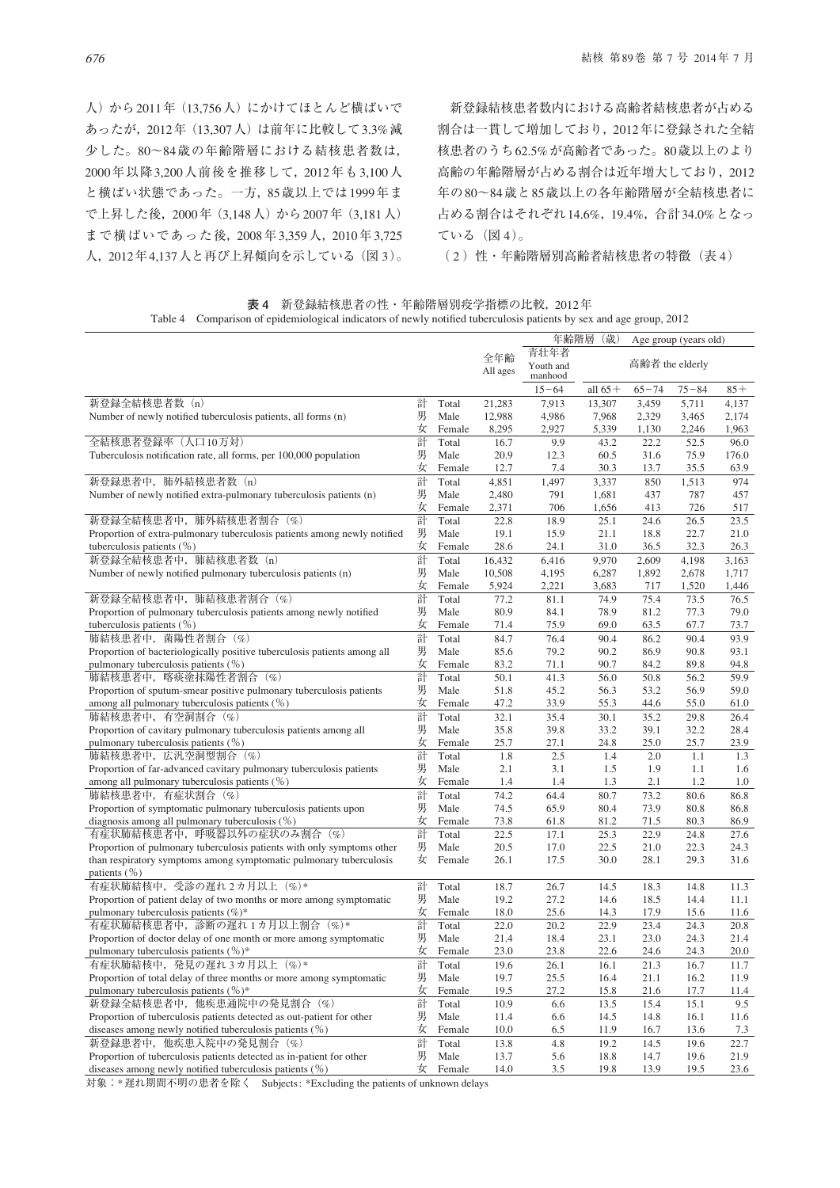人)から2011年(13,756人)にかけてほとんど横ばいで あったが,2012年(13,307人)は前年に比較して3.3%減 少した。80~84歳の年齢階層における結核患者数は, 2000年以降3,200人前後を推移して,2012年も3,100人 と横ばい状態であった。一方,85歳以上では1999年ま で上昇した後,2000年(3,148人)から2007年(3,181人) まで横ばいであった後,2008年3,359人,2010年3,725 人,2012年4,137人と再び上昇傾向を示している(図 3)。

 新登録結核患者数内における高齢者結核患者が占める 割合は一貫して増加しており,2012年に登録された全結 核患者のうち62.5%が高齢者であった。80歳以上のより 高齢の年齢階層が占める割合は近年増大しており,2012 年の80~84歳と85歳以上の各年齢階層が全結核患者に 占める割合はそれぞれ14.6%,19.4%,合計34.0%となっ ている(図 4)。

(2) 性・年齢階層別高齢者結核患者の特徴(表4)

|                                                                                                                                              |        |                |                | 年齢階層              | (歳)            | Age group (years old) |              |               |
|----------------------------------------------------------------------------------------------------------------------------------------------|--------|----------------|----------------|-------------------|----------------|-----------------------|--------------|---------------|
|                                                                                                                                              |        |                | 全年齢            | 青壮年者<br>Youth and |                | 高齢者 the elderly       |              |               |
|                                                                                                                                              |        |                | All ages       | manhood           |                |                       |              |               |
|                                                                                                                                              |        |                |                | $15 - 64$         | all $65+$      | $65 - 74$             | $75 - 84$    | $85+$         |
| 新登録全結核患者数<br>(n)                                                                                                                             | 計      | Total          | 21,283         | 7,913             | 13,307         | 3,459                 | 5,711        | 4,137         |
| Number of newly notified tuberculosis patients, all forms (n)                                                                                | 男      | Male           | 12,988         | 4,986             | 7,968          | 2,329                 | 3,465        | 2,174         |
|                                                                                                                                              | 女      | Female         | 8,295          | 2,927             | 5,339          | 1,130                 | 2,246        | 1,963         |
| 全結核患者登録率(人口10万対)                                                                                                                             | 計      | Total          | 16.7           | 9.9               | 43.2           | 22.2                  | 52.5         | 96.0          |
| Tuberculosis notification rate, all forms, per 100,000 population                                                                            | 男<br>女 | Male<br>Female | 20.9<br>12.7   | 12.3<br>7.4       | 60.5<br>30.3   | 31.6<br>13.7          | 75.9<br>35.5 | 176.0<br>63.9 |
| 新登録患者中, 肺外結核患者数 (n)                                                                                                                          | 計      | Total          |                |                   |                | 850                   |              | 974           |
| Number of newly notified extra-pulmonary tuberculosis patients (n)                                                                           | 男      | Male           | 4,851<br>2,480 | 1,497<br>791      | 3,337<br>1,681 | 437                   | 1,513<br>787 | 457           |
|                                                                                                                                              | 女      | Female         | 2,371          | 706               | 1,656          | 413                   | 726          | 517           |
| 新登録全結核患者中, 肺外結核患者割合 (%)                                                                                                                      | 計      | Total          | 22.8           | 18.9              | 25.1           | 24.6                  | 26.5         | 23.5          |
| Proportion of extra-pulmonary tuberculosis patients among newly notified                                                                     | 男      | Male           | 19.1           | 15.9              | 21.1           | 18.8                  | 22.7         | 21.0          |
| tuberculosis patients $(\%)$                                                                                                                 | 女      | Female         | 28.6           | 24.1              | 31.0           | 36.5                  | 32.3         | 26.3          |
| 新登録全結核患者中, 肺結核患者数 (n)                                                                                                                        | 計      | Total          | 16,432         | 6,416             | 9,970          | 2,609                 | 4,198        | 3,163         |
| Number of newly notified pulmonary tuberculosis patients (n)                                                                                 | 男      | Male           | 10,508         | 4,195             | 6,287          | 1,892                 | 2,678        | 1,717         |
|                                                                                                                                              | 女      | Female         | 5,924          | 2,221             | 3,683          | 717                   | 1,520        | 1,446         |
| 新登録全結核患者中, 肺結核患者割合 (%)                                                                                                                       | 計      | Total          | 77.2           | 81.1              | 74.9           | 75.4                  | 73.5         | 76.5          |
| Proportion of pulmonary tuberculosis patients among newly notified                                                                           | 男      | Male           | 80.9           | 84.1              | 78.9           | 81.2                  | 77.3         | 79.0          |
| tuberculosis patients $(\%)$                                                                                                                 | 女      | Female         | 71.4           | 75.9              | 69.0           | 63.5                  | 67.7         | 73.7          |
| 肺結核患者中, 菌陽性者割合 (%)                                                                                                                           | 計      | Total          | 84.7           | 76.4              | 90.4           | 86.2                  | 90.4         | 93.9          |
| Proportion of bacteriologically positive tuberculosis patients among all                                                                     | 男      | Male           | 85.6           | 79.2              | 90.2           | 86.9                  | 90.8         | 93.1          |
| pulmonary tuberculosis patients (%)                                                                                                          | 女      | Female         | 83.2           | 71.1              | 90.7           | 84.2                  | 89.8         | 94.8          |
| 肺結核患者中, 喀痰塗抹陽性者割合 (%)                                                                                                                        | 計      | Total          | 50.1           | 41.3              | 56.0           | 50.8                  | 56.2         | 59.9          |
| Proportion of sputum-smear positive pulmonary tuberculosis patients                                                                          | 男      | Male           | 51.8           | 45.2              | 56.3           | 53.2                  | 56.9         | 59.0          |
| among all pulmonary tuberculosis patients $(\%)$                                                                                             | 女      | Female         | 47.2           | 33.9              | 55.3           | 44.6                  | 55.0         | 61.0          |
| 肺結核患者中, 有空洞割合 (%)                                                                                                                            | 計      | Total          | 32.1           | 35.4              | 30.1           | 35.2                  | 29.8         | 26.4          |
| Proportion of cavitary pulmonary tuberculosis patients among all                                                                             | 男      | Male           | 35.8           | 39.8              | 33.2           | 39.1                  | 32.2         | 28.4          |
| pulmonary tuberculosis patients $(\%)$                                                                                                       | 女      | Female         | 25.7           | 27.1              | 24.8           | 25.0                  | 25.7         | 23.9          |
| 肺結核患者中, 広汎空洞型割合 (%)                                                                                                                          | 計      | Total          | 1.8            | 2.5               | 1.4            | 2.0                   | 1.1          | 1.3           |
| Proportion of far-advanced cavitary pulmonary tuberculosis patients                                                                          | 男      | Male           | 2.1            | 3.1               | 1.5            | 1.9                   | 1.1          | 1.6           |
| among all pulmonary tuberculosis patients $(\%)$                                                                                             | 女      | Female         | 1.4            | 1.4               | 1.3            | 2.1                   | 1.2          | 1.0           |
| 肺結核患者中, 有症状割合 (%)                                                                                                                            | 計      | Total          | 74.2           | 64.4              | 80.7           | 73.2                  | 80.6         | 86.8          |
| Proportion of symptomatic pulmonary tuberculosis patients upon                                                                               | 男      | Male           | 74.5           | 65.9              | 80.4           | 73.9                  | 80.8         | 86.8          |
| diagnosis among all pulmonary tuberculosis $(\%)$                                                                                            | 女      | Female         | 73.8           | 61.8              | 81.2           | 71.5                  | 80.3         | 86.9          |
| 有症状肺結核患者中, 呼吸器以外の症状のみ割合 (%)                                                                                                                  | 計<br>男 | Total<br>Male  | 22.5<br>20.5   | 17.1              | 25.3           | 22.9                  | 24.8         | 27.6          |
| Proportion of pulmonary tuberculosis patients with only symptoms other<br>than respiratory symptoms among symptomatic pulmonary tuberculosis | 女      | Female         | 26.1           | 17.0<br>17.5      | 22.5<br>30.0   | 21.0<br>28.1          | 22.3<br>29.3 | 24.3<br>31.6  |
| patients $(\% )$                                                                                                                             |        |                |                |                   |                |                       |              |               |
| 有症状肺結核中, 受診の遅れ2カ月以上 (%)*                                                                                                                     | 計      | Total          | 18.7           | 26.7              | 14.5           | 18.3                  | 14.8         | 11.3          |
| Proportion of patient delay of two months or more among symptomatic                                                                          | 男      | Male           | 19.2           | 27.2              | 14.6           | 18.5                  | 14.4         | 11.1          |
| pulmonary tuberculosis patients (%)*                                                                                                         | 女      | Female         | 18.0           | 25.6              | 14.3           | 17.9                  | 15.6         | 11.6          |
| 有症状肺結核患者中,診断の遅れ1カ月以上割合 (%)*                                                                                                                  | 計      | Total          | 22.0           | 20.2              | 22.9           | 23.4                  | 24.3         | 20.8          |
| Proportion of doctor delay of one month or more among symptomatic                                                                            | 男      | Male           | 21.4           | 18.4              | 23.1           | 23.0                  | 24.3         | 21.4          |
| pulmonary tuberculosis patients $(\%)^*$                                                                                                     | 女      | Female         | 23.0           | 23.8              | 22.6           | 24.6                  | 24.3         | 20.0          |
| 有症状肺結核中,発見の遅れ 3 カ月以上(%)*                                                                                                                     | 計      | Total          | 19.6           | 26.1              | 16.1           | 21.3                  | 16.7         | 11.7          |
| Proportion of total delay of three months or more among symptomatic                                                                          | 男      | Male           | 19.7           | 25.5              | 16.4           | 21.1                  | 16.2         | 11.9          |
| pulmonary tuberculosis patients $(\%)^*$                                                                                                     | 女      | Female         | 19.5           | 27.2              | 15.8           | 21.6                  | 17.7         | 11.4          |
| 新登録全結核患者中, 他疾患通院中の発見割合 (%)                                                                                                                   | 計      | Total          | 10.9           | 6.6               | 13.5           | 15.4                  | 15.1         | 9.5           |
| Proportion of tuberculosis patients detected as out-patient for other                                                                        | 男      | Male           | 11.4           | 6.6               | 14.5           | 14.8                  | 16.1         | 11.6          |
| diseases among newly notified tuberculosis patients $(\% )$                                                                                  | 女      | Female         | 10.0           | 6.5               | 11.9           | 16.7                  | 13.6         | 7.3           |
| 新登録患者中, 他疾患入院中の発見割合 (%)                                                                                                                      | 計      | Total          | 13.8           | 4.8               | 19.2           | 14.5                  | 19.6         | 22.7          |
| Proportion of tuberculosis patients detected as in-patient for other                                                                         | 男      | Male           | 13.7           | 5.6               | 18.8           | 14.7                  | 19.6         | 21.9          |
| diseases among newly notified tuberculosis patients $(\% )$                                                                                  | 女      | Female         | 14.0           | 3.5               | 19.8           | 13.9                  | 19.5         | 23.6          |

**表 4** 新登録結核患者の性・年齢階層別疫学指標の比較,2012年 Table 4 Comparison of epidemiological indicators of newly notified tuberculosis patients by sex and age group, 2012

対象:\*遅れ期間不明の患者を除く Subjects : \*Excluding the patients of unknown delays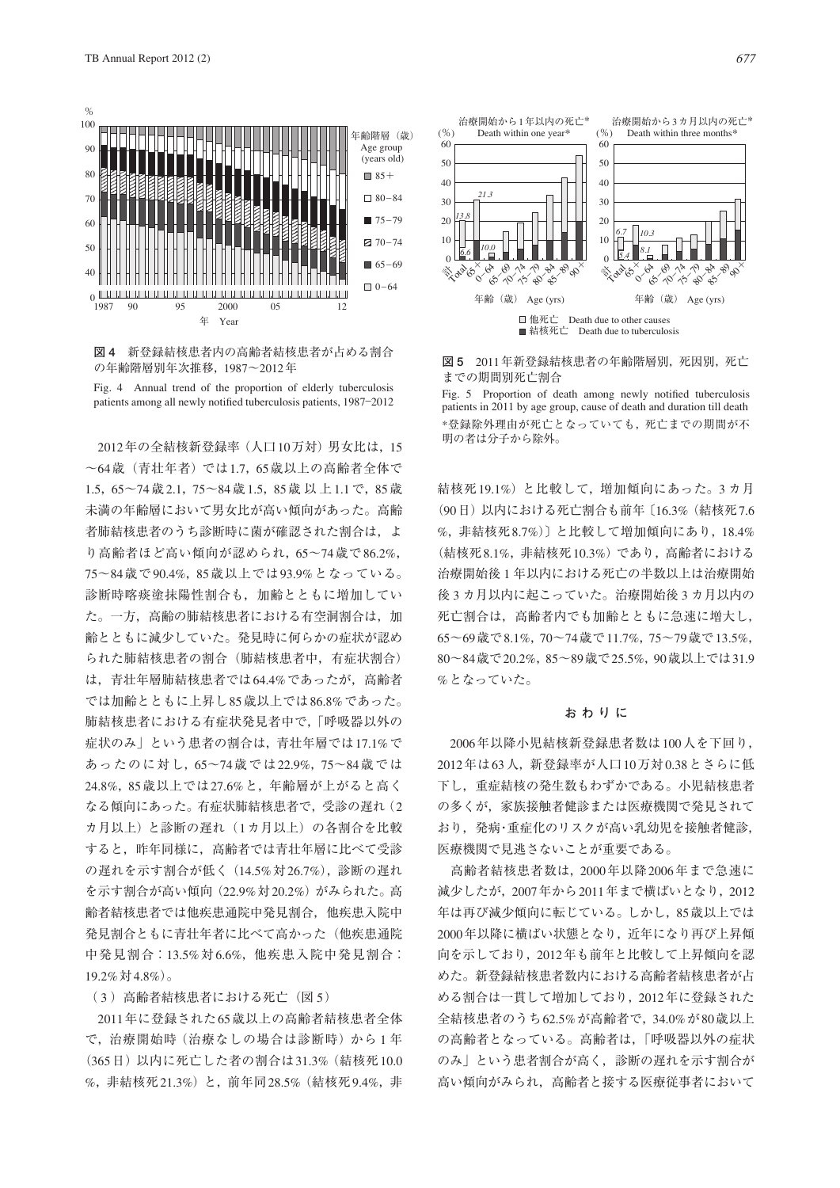

**図 4** 新登録結核患者内の高齢者結核患者が占める割合 の年齢階層別年次推移,1987~2012年



2012年の全結核新登録率(人口10万対)男女比は,15 ~64歳(青壮年者)では1.7,65歳以上の高齢者全体で 1.5,65~74歳2.1,75~84歳1.5,85歳以上1.1で,85歳 未満の年齢層において男女比が高い傾向があった。高齢 者肺結核患者のうち診断時に菌が確認された割合は、よ り高齢者ほど高い傾向が認められ,65~74歳で86.2%, 75~84歳で90.4%,85歳以上では93.9%となっている。 診断時喀痰塗抹陽性割合も,加齢とともに増加してい た。一方,高齢の肺結核患者における有空洞割合は、加 齢とともに減少していた。発見時に何らかの症状が認め られた肺結核患者の割合(肺結核患者中,有症状割合) は,青壮年層肺結核患者では64.4%であったが,高齢者 では加齢とともに上昇し85歳以上では86.8%であった。 肺結核患者における有症状発見者中で,「呼吸器以外の 症状のみ」という患者の割合は,青壮年層では17.1%で あったのに対し,65~74歳では22.9%,75~84歳では 24.8%,85歳以上では27.6%と,年齢層が上がると高く なる傾向にあった。有症状肺結核患者で,受診の遅れ(2 カ月以上)と診断の遅れ(1カ月以上)の各割合を比較 すると,昨年同様に,高齢者では青壮年層に比べて受診 の遅れを示す割合が低く(14.5%対26.7%),診断の遅れ を示す割合が高い傾向(22.9%対20.2%)がみられた。高 齢者結核患者では他疾患通院中発見割合,他疾患入院中 発見割合ともに青壮年者に比べて高かった(他疾患通院 中発見割合:13.5%対6.6%,他疾患入院中発見割合: 19.2%対4.8%)。

### (3) 高齢者結核患者における死亡(図 5)

2011年に登録された65歳以上の高齢者結核患者全体 で,治療開始時(治療なしの場合は診断時)から 1 年 (365日)以内に死亡した者の割合は31.3%(結核死10.0 %,非結核死21.3%)と,前年同28.5%(結核死9.4%,非



**図 5** 2011年新登録結核患者の年齢階層別,死因別,死亡 までの期間別死亡割合

Fig. 5 Proportion of death among newly notified tuberculosis patients in 2011 by age group, cause of death and duration till death \*登録除外理由が死亡となっていても,死亡までの期間が不 明の者は分子から除外。

結核死19.1%)と比較して,増加傾向にあった。3 カ月 (90日)以内における死亡割合も前年〔16.3%(結核死7.6 %,非結核死8.7%)〕と比較して増加傾向にあり,18.4% (結核死8.1%,非結核死10.3%)であり,高齢者における 治療開始後 1 年以内における死亡の半数以上は治療開始 後 3 カ月以内に起こっていた。治療開始後 3 カ月以内の 死亡割合は,高齢者内でも加齢とともに急速に増大し, 65~69歳で8.1%,70~74歳で11.7%,75~79歳で13.5%, 80~84歳で20.2%,85~89歳で25.5%,90歳以上では31.9 %となっていた。

#### **おわりに**

2006年以降小児結核新登録患者数は100人を下回り, 2012年は63人,新登録率が人口10万対0.38とさらに低 下し,重症結核の発生数もわずかである。小児結核患者 の多くが,家族接触者健診または医療機関で発見されて おり,発病・重症化のリスクが高い乳幼児を接触者健診, 医療機関で見逃さないことが重要である。

 高齢者結核患者数は,2000年以降2006年まで急速に 減少したが, 2007年から2011年まで構ばいとなり, 2012 年は再び減少傾向に転じている。しかし、85歳以上では 2000年以降に横ばい状態となり,近年になり再び上昇傾 向を示しており,2012年も前年と比較して上昇傾向を認 めた。新登録結核患者数内における高齢者結核患者が占 める割合は一貫して増加しており,2012年に登録された 全結核患者のうち62.5%が高齢者で,34.0%が80歳以上 の高齢者となっている。高齢者は,「呼吸器以外の症状 のみ」という患者割合が高く,診断の遅れを示す割合が 高い傾向がみられ,高齢者と接する医療従事者において